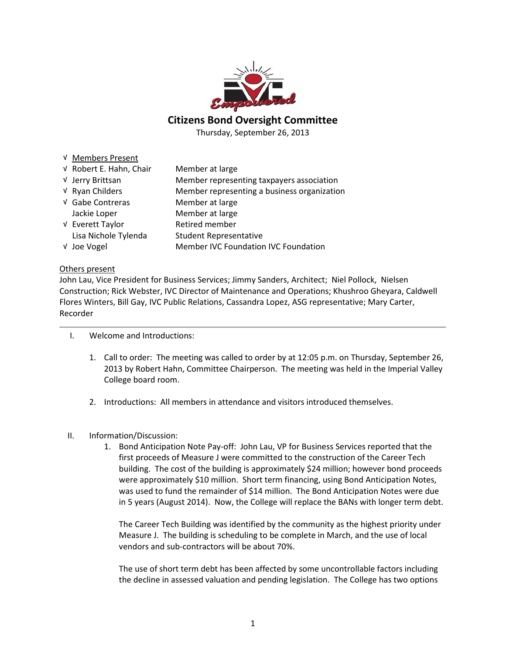

#### Citizens Bond Oversight Committee

Thursday, September 26, 2013

- √ Members Present
- √ Robert E. Hahn, Chair Member at large √ Jerry Brittsan Member representing taxpayers association √ Ryan Childers Member representing a business organization √ Gabe Contreras Member at large Jackie Loper Member at large √ Everett Taylor Retired member Lisa Nichole Tylenda Student Representative √ Joe Vogel Member IVC Foundation IVC Foundation

#### Others present

John Lau, Vice President for Business Services; Jimmy Sanders, Architect; Niel Pollock, Nielsen Construction; Rick Webster, IVC Director of Maintenance and Operations; Khushroo Gheyara, Caldwell Flores Winters, Bill Gay, IVC Public Relations, Cassandra Lopez, ASG representative; Mary Carter, Recorder

- I. Welcome and Introductions:
	- 1. Call to order: The meeting was called to order by at 12:05 p.m. on Thursday, September 26, 2013 by Robert Hahn, Committee Chairperson. The meeting was held in the Imperial Valley College board room.
	- 2. Introductions: All members in attendance and visitors introduced themselves.
- II. Information/Discussion:
	- 1. Bond Anticipation Note Pay-off: John Lau, VP for Business Services reported that the first proceeds of Measure J were committed to the construction of the Career Tech building. The cost of the building is approximately \$24 million; however bond proceeds were approximately \$10 million. Short term financing, using Bond Anticipation Notes, was used to fund the remainder of \$14 million. The Bond Anticipation Notes were due in 5 years (August 2014). Now, the College will replace the BANs with longer term debt.

The Career Tech Building was identified by the community as the highest priority under Measure J. The building is scheduling to be complete in March, and the use of local vendors and sub-contractors will be about 70%.

The use of short term debt has been affected by some uncontrollable factors including the decline in assessed valuation and pending legislation. The College has two options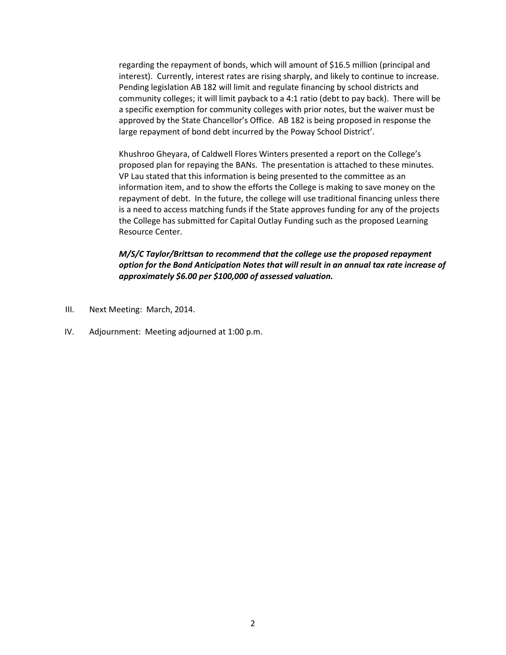regarding the repayment of bonds, which will amount of \$16.5 million (principal and interest). Currently, interest rates are rising sharply, and likely to continue to increase. Pending legislation AB 182 will limit and regulate financing by school districts and community colleges; it will limit payback to a 4:1 ratio (debt to pay back). There will be a specific exemption for community colleges with prior notes, but the waiver must be approved by the State Chancellor's Office. AB 182 is being proposed in response the large repayment of bond debt incurred by the Poway School District'.

Khushroo Gheyara, of Caldwell Flores Winters presented a report on the College's proposed plan for repaying the BANs. The presentation is attached to these minutes. VP Lau stated that this information is being presented to the committee as an information item, and to show the efforts the College is making to save money on the repayment of debt. In the future, the college will use traditional financing unless there is a need to access matching funds if the State approves funding for any of the projects the College has submitted for Capital Outlay Funding such as the proposed Learning Resource Center.

#### M/S/C Taylor/Brittsan to recommend that the college use the proposed repayment option for the Bond Anticipation Notes that will result in an annual tax rate increase of approximately \$6.00 per \$100,000 of assessed valuation.

- III. Next Meeting: March, 2014.
- IV. Adjournment: Meeting adjourned at 1:00 p.m.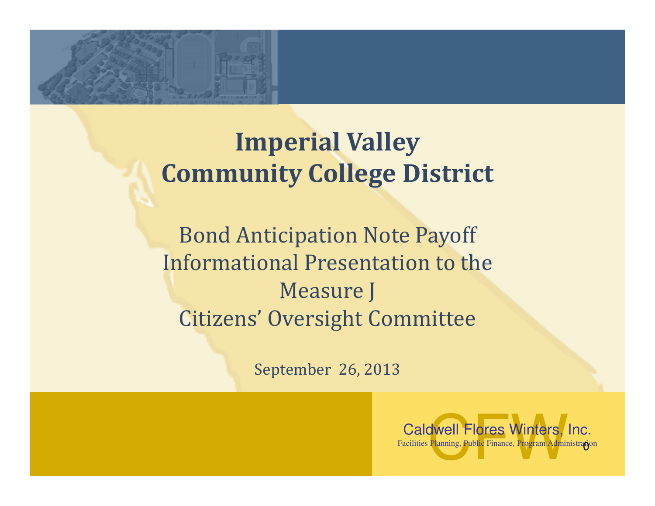

### Imperial Valley Community College District

Bond Anticipation Note Payoff Informational Presentation to the Measure JCitizens' Oversight Committee

September 26, 2013

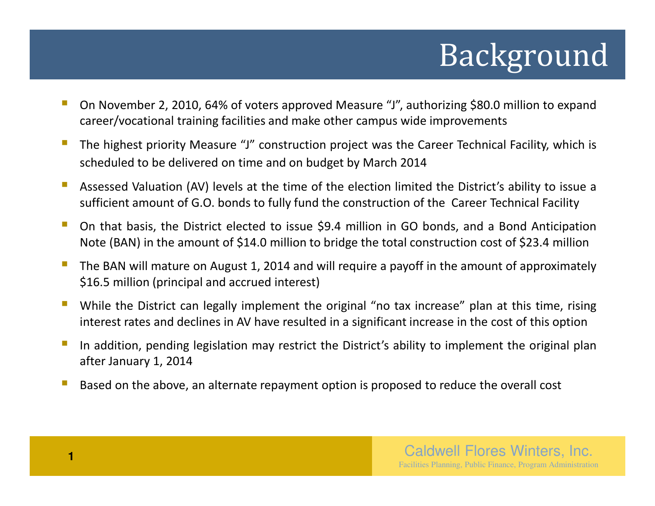# Background

- On November 2, 2010, 64% of voters approved Measure "J", authorizing \$80.0 million to expand career/vocational training facilities and make other campus wide improvements
- $\mathcal{C}$  The highest priority Measure "J" construction project was the Career Technical Facility, which is scheduled to be delivered on time and on budget by March <sup>2014</sup>
- Assessed Valuation (AV) levels at the time of the election limited the District's ability to issue <sup>a</sup> sufficient amount of G.O. bonds to fully fund the construction of the Career Technical Facility
- On that basis, the District elected to issue \$9.4 million in GO bonds, and <sup>a</sup> Bond Anticipation Note (BAN) in the amount of \$14.0 million to bridge the total construction cost of \$23.4 million
- $\mathbb{R}^n$  The BAN will mature on August 1, <sup>2014</sup> and will require <sup>a</sup> payoff in the amount of approximately \$16.5 million (principal and accrued interest)
- $\mathbb{R}^n$  While the District can legally implement the original "no tax increase" plan at this time, rising interest rates and declines in AV have resulted in <sup>a</sup> significant increase in the cost of this option
- In addition, pending legislation may restrict the District's ability to implement the original plan after January 1, <sup>2014</sup>
- $\mathbb{R}^n$ Based on the above, an alternate repayment option is proposed to reduce the overall cost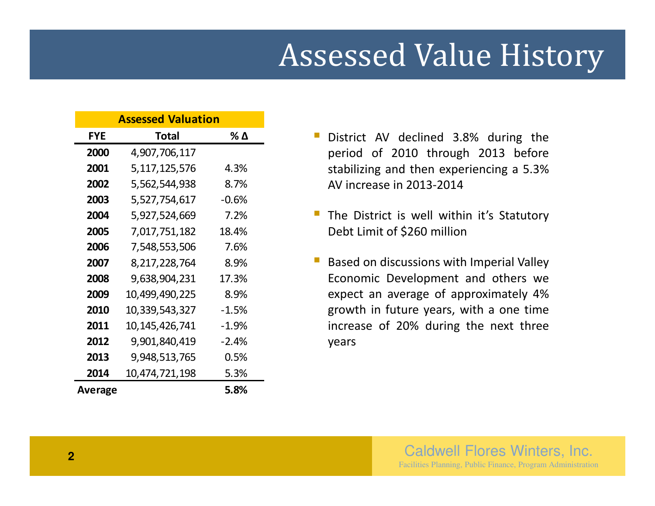# Assessed Value History

| <b>Assessed Valuation</b> |                   |         |
|---------------------------|-------------------|---------|
| <b>FYE</b>                | <b>Total</b>      | % Δ     |
| 2000                      | 4,907,706,117     |         |
| 2001                      | 5, 117, 125, 576  | 4.3%    |
| 2002                      | 5,562,544,938     | 8.7%    |
| 2003                      | 5,527,754,617     | $-0.6%$ |
| 2004                      | 5,927,524,669     | 7.2%    |
| 2005                      | 7,017,751,182     | 18.4%   |
| 2006                      | 7,548,553,506     | 7.6%    |
| 2007                      | 8,217,228,764     | 8.9%    |
| 2008                      | 9,638,904,231     | 17.3%   |
| 2009                      | 10,499,490,225    | 8.9%    |
| 2010                      | 10,339,543,327    | $-1.5%$ |
| 2011                      | 10, 145, 426, 741 | $-1.9%$ |
| 2012                      | 9,901,840,419     | -2.4%   |
| 2013                      | 9,948,513,765     | 0.5%    |
| 2014                      | 10,474,721,198    | 5.3%    |
| Average                   |                   | 5.8%    |

- $\mathbb{R}^2$  District AV declined 3.8% during the period of <sup>2010</sup> through <sup>2013</sup> before stabilizing and then experiencing <sup>a</sup> 5.3%AV increase in 2013-2014
- **The District is well within it's Statutory** Debt Limit of \$260 million
- Based on discussions with Imperial Valley Economic Development and others we expect an average of approximately 4% growth in future years, with <sup>a</sup> one time increase of 20% during the next three years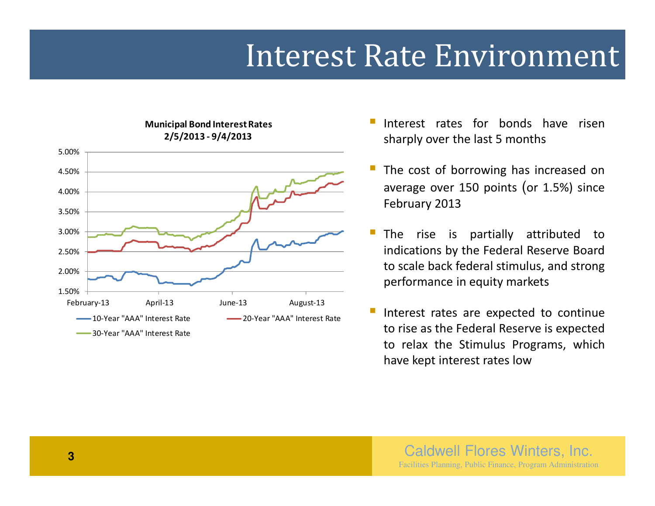### Interest Rate Environment



Municipal Bond Interest Rates

- Interest rates for bonds have risen sharply over the last <sup>5</sup> months
	- The cost of borrowing has increased on average over <sup>150</sup> points (or 1.5%) since February <sup>2013</sup>
	- The rise is partially attributed to indications by the Federal Reserve Board to scale back federal stimulus, and strong performance in equity markets
	- Interest rates are expected to continue to rise as the Federal Reserve is expected to relax the Stimulus Programs, whichhave kept interest rates low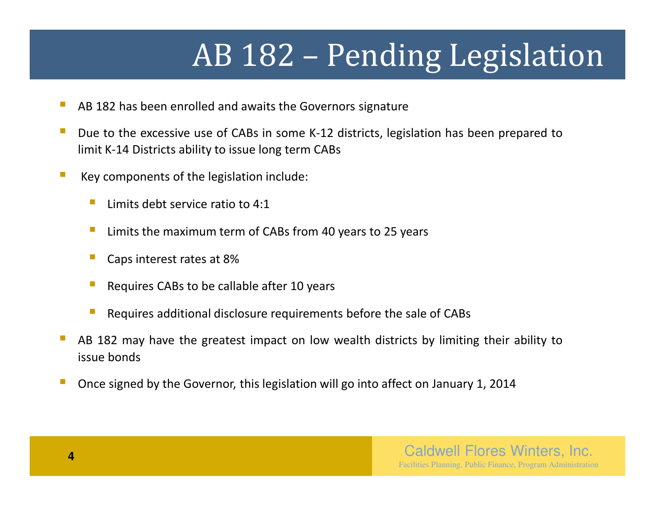# AB 182 – Pending Legislation

- AB <sup>182</sup> has been enrolled and awaits the Governors signature
- Due to the excessive use of CABs in some K-12 districts, legislation has been prepared to limit K-14 Districts ability to issue long term CABs
- Key components of the legislation include:
	- $\mathcal{C}^{\mathcal{A}}$ Limits debt service ratio to 4:1
	- $\mathbb{R}^3$ Limits the maximum term of CABs from <sup>40</sup> years to <sup>25</sup> years
	- $\mathbb{R}^n$ Caps interest rates at 8%
	- Requires CABs to be callable after <sup>10</sup> years
	- $\mathbb{R}^n$ Requires additional disclosure requirements before the sale of CABs
- AB <sup>182</sup> may have the greatest impact on low wealth districts by limiting their ability to issue bonds
- Once signed by the Governor, this legislation will go into affect on January 1, <sup>2014</sup>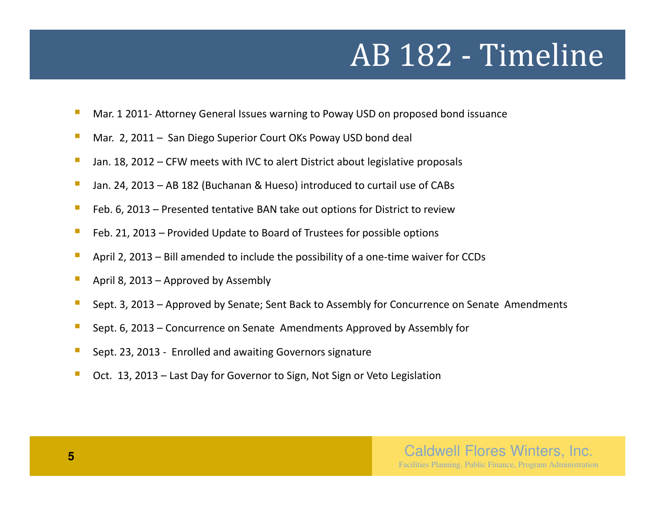# AB 182 - Timeline

- $\mathbb{R}^2$ Mar. <sup>1</sup> 2011- Attorney General Issues warning to Poway USD on proposed bond issuance
- $\mathcal{L}_{\mathcal{A}}$ Mar. 2, <sup>2011</sup> – San Diego Superior Court OKs Poway USD bond deal
- $\mathcal{C}$ Jan. 18, <sup>2012</sup> – CFW meets with IVC to alert District about legislative proposals
- $\overline{\phantom{a}}$ Jan. 24, <sup>2013</sup> – AB <sup>182</sup> (Buchanan & Hueso) introduced to curtail use of CABs
- $\mathcal{C}$ Feb. 6, <sup>2013</sup> – Presented tentative BAN take out options for District to review
- $\mathcal{C}^{\mathcal{A}}$ Feb. 21, <sup>2013</sup> – Provided Update to Board of Trustees for possible options
- $\mathcal{L}_{\mathcal{A}}$ April 2, <sup>2013</sup> – Bill amended to include the possibility of <sup>a</sup> one-time waiver for CCDs
- $\mathcal{L}_{\mathcal{A}}$ April 8, <sup>2013</sup> – Approved by Assembly
- $\mathcal{L}_{\mathcal{A}}$ Sept. 3, <sup>2013</sup> – Approved by Senate; Sent Back to Assembly for Concurrence on Senate Amendments
- $\mathcal{L}_{\mathcal{A}}$ Sept. 6, <sup>2013</sup> – Concurrence on Senate Amendments Approved by Assembly for
- $\mathcal{C}$ Sept. 23, <sup>2013</sup> - Enrolled and awaiting Governors signature
- П Oct. 13, <sup>2013</sup> – Last Day for Governor to Sign, Not Sign or Veto Legislation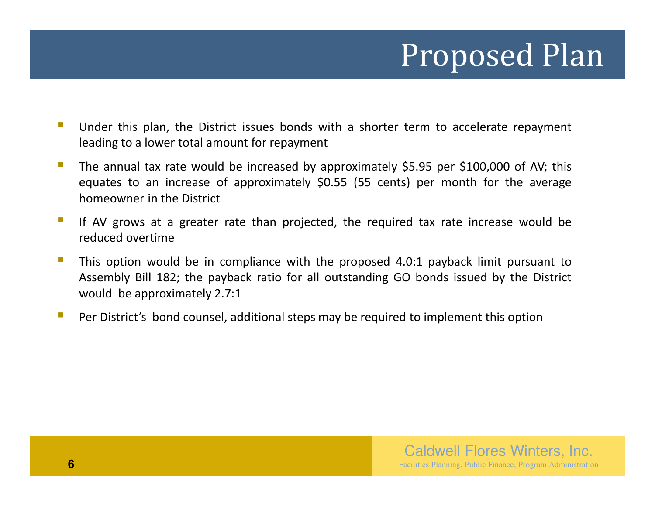# Proposed Plan

- Under this plan, the District issues bonds with <sup>a</sup> shorter term to accelerate repayment leading to <sup>a</sup> lower total amount for repayment
- The annual tax rate would be increased by approximately \$5.95 per \$100,000 of AV; this equates to an increase of approximately \$0.55 (55 cents) per month for the average homeowner in the District
- П If AV grows at <sup>a</sup> greater rate than projected, the required tax rate increase would be reduced overtime
- This option would be in compliance with the proposed 4.0:1 payback limit pursuant to Assembly Bill 182; the payback ratio for all outstanding GO bonds issued by the District would be approximately 2.7:1
- $\mathbb{R}^n$ Per District's bond counsel, additional steps may be required to implement this option